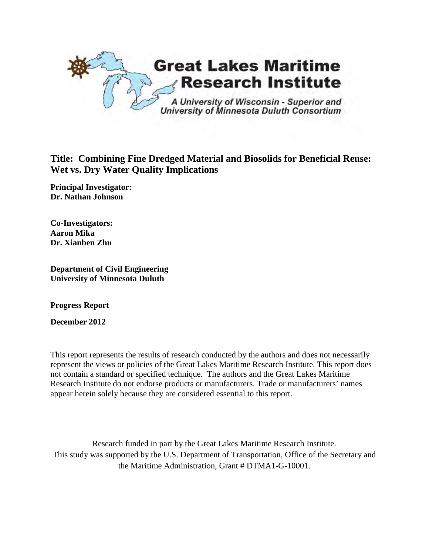

# **Title: Combining Fine Dredged Material and Biosolids for Beneficial Reuse: Wet vs. Dry Water Quality Implications**

**Principal Investigator: Dr. Nathan Johnson** 

**Co-Investigators: Aaron Mika Dr. Xianben Zhu**

**Department of Civil Engineering University of Minnesota Duluth**

**Progress Report**

**December 2012**

This report represents the results of research conducted by the authors and does not necessarily represent the views or policies of the Great Lakes Maritime Research Institute. This report does not contain a standard or specified technique. The authors and the Great Lakes Maritime Research Institute do not endorse products or manufacturers. Trade or manufacturers' names appear herein solely because they are considered essential to this report.

Research funded in part by the Great Lakes Maritime Research Institute. This study was supported by the U.S. Department of Transportation, Office of the Secretary and the Maritime Administration, Grant # DTMA1-G-10001.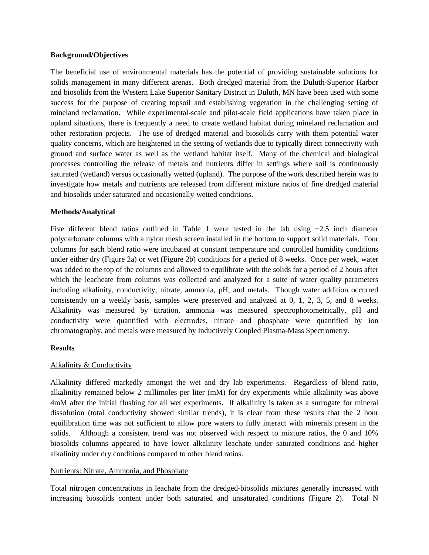#### **Background/Objectives**

The beneficial use of environmental materials has the potential of providing sustainable solutions for solids management in many different arenas. Both dredged material from the Duluth-Superior Harbor and biosolids from the Western Lake Superior Sanitary District in Duluth, MN have been used with some success for the purpose of creating topsoil and establishing vegetation in the challenging setting of mineland reclamation. While experimental-scale and pilot-scale field applications have taken place in upland situations, there is frequently a need to create wetland habitat during mineland reclamation and other restoration projects. The use of dredged material and biosolids carry with them potential water quality concerns, which are heightened in the setting of wetlands due to typically direct connectivity with ground and surface water as well as the wetland habitat itself. Many of the chemical and biological processes controlling the release of metals and nutrients differ in settings where soil is continuously saturated (wetland) versus occasionally wetted (upland). The purpose of the work described herein was to investigate how metals and nutrients are released from different mixture ratios of fine dredged material and biosolids under saturated and occasionally-wetted conditions.

# **Methods/Analytical**

Five different blend ratios outlined in Table 1 were tested in the lab using  $\approx 2.5$  inch diameter polycarbonate columns with a nylon mesh screen installed in the bottom to support solid materials. Four columns for each blend ratio were incubated at constant temperature and controlled humidity conditions under either dry (Figure 2a) or wet (Figure 2b) conditions for a period of 8 weeks. Once per week, water was added to the top of the columns and allowed to equilibrate with the solids for a period of 2 hours after which the leacheate from columns was collected and analyzed for a suite of water quality parameters including alkalinity, conductivity, nitrate, ammonia, pH, and metals. Though water addition occurred consistently on a weekly basis, samples were preserved and analyzed at 0, 1, 2, 3, 5, and 8 weeks. Alkalinity was measured by titration, ammonia was measured spectrophotometrically, pH and conductivity were quantified with electrodes, nitrate and phosphate were quantified by ion chromatography, and metals were measured by Inductively Coupled Plasma-Mass Spectrometry.

# **Results**

# Alkalinity & Conductivity

Alkalinity differed markedly amongst the wet and dry lab experiments. Regardless of blend ratio, alkalinitiy remained below 2 millimoles per liter (mM) for dry experiments while alkalinity was above 4mM after the initial flushing for all wet experiments. If alkalinity is taken as a surrogate for mineral dissolution (total conductivity showed similar trends), it is clear from these results that the 2 hour equilibration time was not sufficient to allow pore waters to fully interact with minerals present in the solids. Although a consistent trend was not observed with respect to mixture ratios, the 0 and 10% biosolids columns appeared to have lower alkalinity leachate under saturated conditions and higher alkalinity under dry conditions compared to other blend ratios.

#### Nutrients: Nitrate, Ammonia, and Phosphate

Total nitrogen concentrations in leachate from the dredged-biosolids mixtures generally increased with increasing biosolids content under both saturated and unsaturated conditions (Figure 2). Total N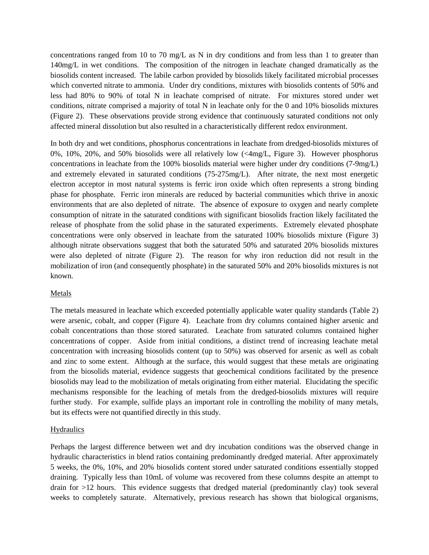concentrations ranged from 10 to 70 mg/L as N in dry conditions and from less than 1 to greater than 140mg/L in wet conditions. The composition of the nitrogen in leachate changed dramatically as the biosolids content increased. The labile carbon provided by biosolids likely facilitated microbial processes which converted nitrate to ammonia. Under dry conditions, mixtures with biosolids contents of 50% and less had 80% to 90% of total N in leachate comprised of nitrate. For mixtures stored under wet conditions, nitrate comprised a majority of total N in leachate only for the 0 and 10% biosolids mixtures (Figure 2). These observations provide strong evidence that continuously saturated conditions not only affected mineral dissolution but also resulted in a characteristically different redox environment.

In both dry and wet conditions, phosphorus concentrations in leachate from dredged-biosolids mixtures of 0%, 10%, 20%, and 50% biosolids were all relatively low (<4mg/L, Figure 3). However phosphorus concentrations in leachate from the 100% biosolids material were higher under dry conditions (7-9mg/L) and extremely elevated in saturated conditions (75-275mg/L). After nitrate, the next most energetic electron acceptor in most natural systems is ferric iron oxide which often represents a strong binding phase for phosphate. Ferric iron minerals are reduced by bacterial communities which thrive in anoxic environments that are also depleted of nitrate. The absence of exposure to oxygen and nearly complete consumption of nitrate in the saturated conditions with significant biosolids fraction likely facilitated the release of phosphate from the solid phase in the saturated experiments. Extremely elevated phosphate concentrations were only observed in leachate from the saturated 100% biosolids mixture (Figure 3) although nitrate observations suggest that both the saturated 50% and saturated 20% biosolids mixtures were also depleted of nitrate (Figure 2). The reason for why iron reduction did not result in the mobilization of iron (and consequently phosphate) in the saturated 50% and 20% biosolids mixtures is not known.

# Metals

The metals measured in leachate which exceeded potentially applicable water quality standards (Table 2) were arsenic, cobalt, and copper (Figure 4). Leachate from dry columns contained higher arsenic and cobalt concentrations than those stored saturated. Leachate from saturated columns contained higher concentrations of copper. Aside from initial conditions, a distinct trend of increasing leachate metal concentration with increasing biosolids content (up to 50%) was observed for arsenic as well as cobalt and zinc to some extent. Although at the surface, this would suggest that these metals are originating from the biosolids material, evidence suggests that geochemical conditions facilitated by the presence biosolids may lead to the mobilization of metals originating from either material. Elucidating the specific mechanisms responsible for the leaching of metals from the dredged-biosolids mixtures will require further study. For example, sulfide plays an important role in controlling the mobility of many metals, but its effects were not quantified directly in this study.

# **Hydraulics**

Perhaps the largest difference between wet and dry incubation conditions was the observed change in hydraulic characteristics in blend ratios containing predominantly dredged material. After approximately 5 weeks, the 0%, 10%, and 20% biosolids content stored under saturated conditions essentially stopped draining. Typically less than 10mL of volume was recovered from these columns despite an attempt to drain for >12 hours. This evidence suggests that dredged material (predominantly clay) took several weeks to completely saturate. Alternatively, previous research has shown that biological organisms,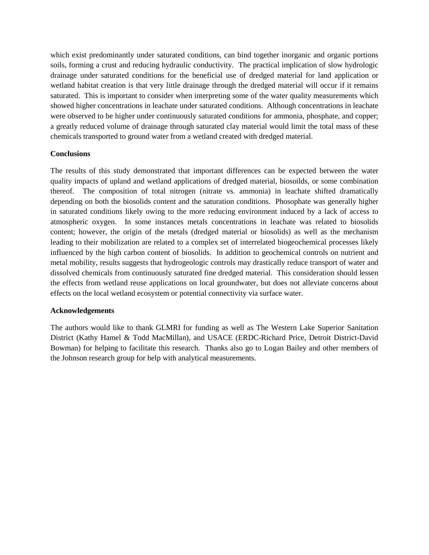which exist predominantly under saturated conditions, can bind together inorganic and organic portions soils, forming a crust and reducing hydraulic conductivity. The practical implication of slow hydrologic drainage under saturated conditions for the beneficial use of dredged material for land application or wetland habitat creation is that very little drainage through the dredged material will occur if it remains saturated. This is important to consider when interpreting some of the water quality measurements which showed higher concentrations in leachate under saturated conditions. Although concentrations in leachate were observed to be higher under continuously saturated conditions for ammonia, phosphate, and copper; a greatly reduced volume of drainage through saturated clay material would limit the total mass of these chemicals transported to ground water from a wetland created with dredged material.

# **Conclusions**

The results of this study demonstrated that important differences can be expected between the water quality impacts of upland and wetland applications of dredged material, biosoilds, or some combination thereof. The composition of total nitrogen (nitrate vs. ammonia) in leachate shifted dramatically depending on both the biosolids content and the saturation conditions. Phosophate was generally higher in saturated conditions likely owing to the more reducing environment induced by a lack of access to atmospheric oxygen. In some instances metals concentrations in leachate was related to biosolids content; however, the origin of the metals (dredged material or biosolids) as well as the mechanism leading to their mobilization are related to a complex set of interrelated biogeochemical processes likely influenced by the high carbon content of biosolids. In addition to geochemical controls on nutrient and metal mobility, results suggests that hydrogeologic controls may drastically reduce transport of water and dissolved chemicals from continuously saturated fine dredged material. This consideration should lessen the effects from wetland reuse applications on local groundwater, but does not alleviate concerns about effects on the local wetland ecosystem or potential connectivity via surface water.

# **Acknowledgements**

The authors would like to thank GLMRI for funding as well as The Western Lake Superior Sanitation District (Kathy Hamel & Todd MacMillan), and USACE (ERDC-Richard Price, Detroit District-David Bowman) for helping to facilitate this research. Thanks also go to Logan Bailey and other members of the Johnson research group for help with analytical measurements.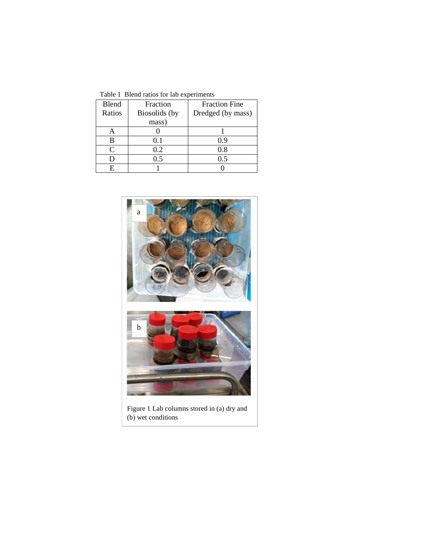Table 1 Blend ratios for lab experiments

| <b>Blend</b> | Fraction      | <b>Fraction Fine</b> |  |  |
|--------------|---------------|----------------------|--|--|
| Ratios       | Biosolids (by | Dredged (by mass)    |  |  |
|              | mass)         |                      |  |  |
|              |               |                      |  |  |
| R            | 0.1           | 0.9                  |  |  |
| 0            | 0.2           | 0.8                  |  |  |
|              | 0.5           | 0.5                  |  |  |
|              |               |                      |  |  |



(b) wet conditions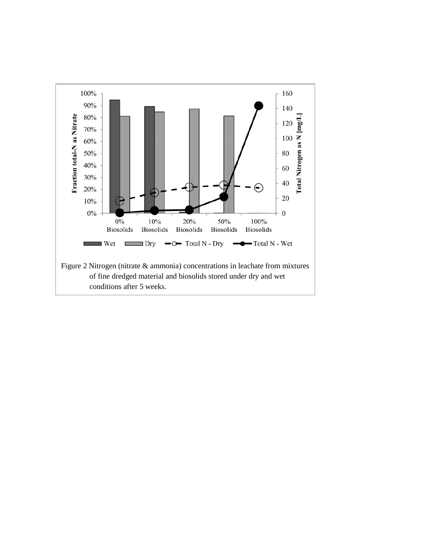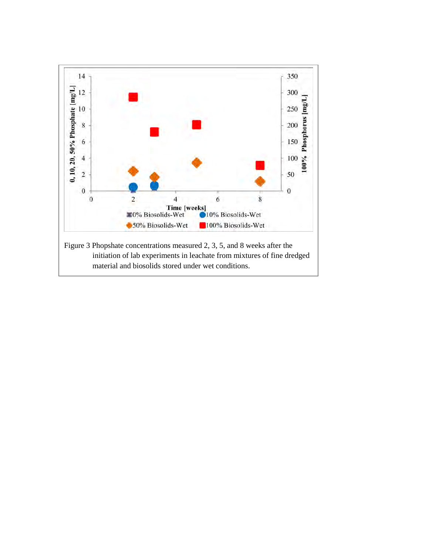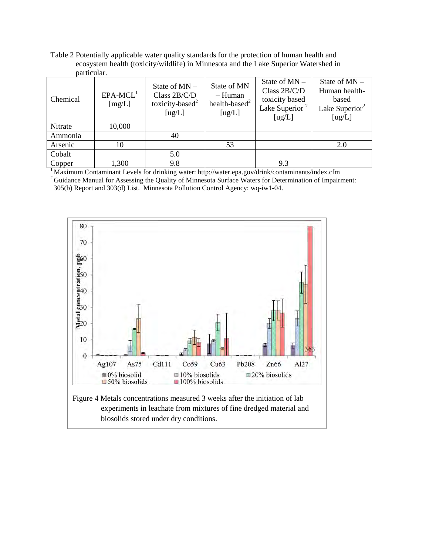Table 2 Potentially applicable water quality standards for the protection of human health and ecosystem health (toxicity/wildlife) in Minnesota and the Lake Superior Watershed in particular.

| Chemical | $EPA-MCL1$<br>[mg/L] | State of $MN -$<br>Class 2B/C/D<br>toxicity-based <sup>2</sup><br>[ug/L] | State of MN<br>– Human<br>health-based $^2$<br>[ug/L] | State of $MN -$<br>Class $2B/C/D$<br>toxicity based<br>Lake Superior <sup>2</sup><br>[ug/L] | State of $MN -$<br>Human health-<br>based<br>Lake Superior <sup>2</sup><br>[ug/L] |
|----------|----------------------|--------------------------------------------------------------------------|-------------------------------------------------------|---------------------------------------------------------------------------------------------|-----------------------------------------------------------------------------------|
| Nitrate  | 10,000               |                                                                          |                                                       |                                                                                             |                                                                                   |
| Ammonia  |                      | 40                                                                       |                                                       |                                                                                             |                                                                                   |
| Arsenic  | 10                   |                                                                          | 53                                                    |                                                                                             | 2.0                                                                               |
| Cobalt   |                      | 5.0                                                                      |                                                       |                                                                                             |                                                                                   |
| Copper   | 1,300                | 9.8                                                                      |                                                       | 9.3                                                                                         |                                                                                   |

<sup>1</sup> Maximum Contaminant Levels for drinking water: http://water.epa.gov/drink/contaminants/index.cfm  $2$  Guidance Manual for Assessing the Quality of Minnesota Surface Waters for Determination of Impairment: 305(b) Report and 303(d) List. Minnesota Pollution Control Agency: wq-iw1-04.